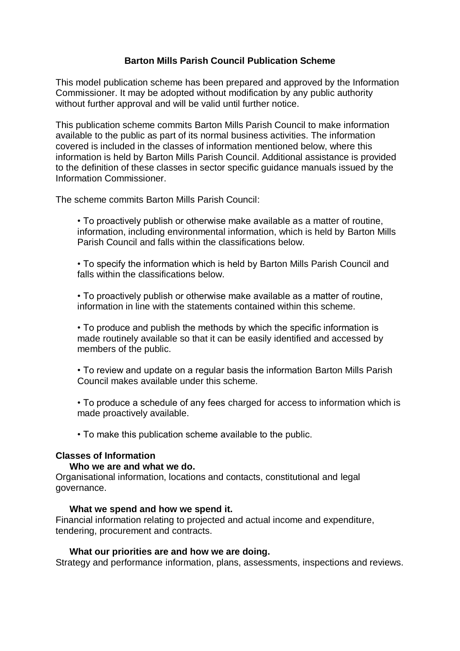# **Barton Mills Parish Council Publication Scheme**

This model publication scheme has been prepared and approved by the Information Commissioner. It may be adopted without modification by any public authority without further approval and will be valid until further notice.

This publication scheme commits Barton Mills Parish Council to make information available to the public as part of its normal business activities. The information covered is included in the classes of information mentioned below, where this information is held by Barton Mills Parish Council. Additional assistance is provided to the definition of these classes in sector specific guidance manuals issued by the Information Commissioner.

The scheme commits Barton Mills Parish Council:

• To proactively publish or otherwise make available as a matter of routine, information, including environmental information, which is held by Barton Mills Parish Council and falls within the classifications below.

• To specify the information which is held by Barton Mills Parish Council and falls within the classifications below.

• To proactively publish or otherwise make available as a matter of routine, information in line with the statements contained within this scheme.

• To produce and publish the methods by which the specific information is made routinely available so that it can be easily identified and accessed by members of the public.

• To review and update on a regular basis the information Barton Mills Parish Council makes available under this scheme.

• To produce a schedule of any fees charged for access to information which is made proactively available.

• To make this publication scheme available to the public.

## **Classes of Information**

### **Who we are and what we do.**

Organisational information, locations and contacts, constitutional and legal governance.

### **What we spend and how we spend it.**

Financial information relating to projected and actual income and expenditure, tendering, procurement and contracts.

### **What our priorities are and how we are doing.**

Strategy and performance information, plans, assessments, inspections and reviews.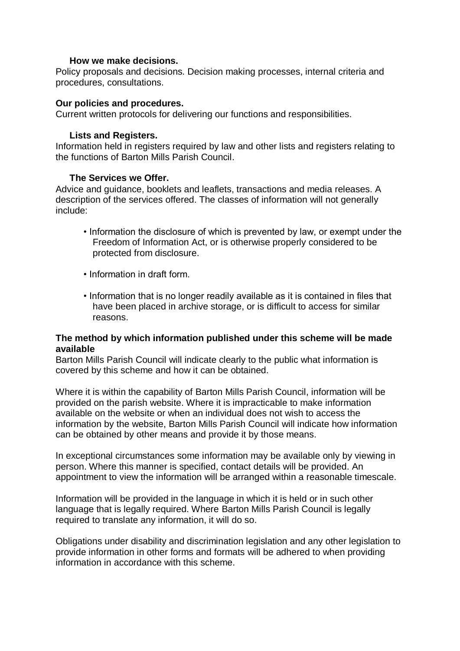## **How we make decisions.**

Policy proposals and decisions. Decision making processes, internal criteria and procedures, consultations.

## **Our policies and procedures.**

Current written protocols for delivering our functions and responsibilities.

## **Lists and Registers.**

Information held in registers required by law and other lists and registers relating to the functions of Barton Mills Parish Council.

## **The Services we Offer.**

Advice and guidance, booklets and leaflets, transactions and media releases. A description of the services offered. The classes of information will not generally include:

- Information the disclosure of which is prevented by law, or exempt under the Freedom of Information Act, or is otherwise properly considered to be protected from disclosure.
- Information in draft form.
- Information that is no longer readily available as it is contained in files that have been placed in archive storage, or is difficult to access for similar reasons.

### **The method by which information published under this scheme will be made available**

Barton Mills Parish Council will indicate clearly to the public what information is covered by this scheme and how it can be obtained.

Where it is within the capability of Barton Mills Parish Council, information will be provided on the parish website. Where it is impracticable to make information available on the website or when an individual does not wish to access the information by the website, Barton Mills Parish Council will indicate how information can be obtained by other means and provide it by those means.

In exceptional circumstances some information may be available only by viewing in person. Where this manner is specified, contact details will be provided. An appointment to view the information will be arranged within a reasonable timescale.

Information will be provided in the language in which it is held or in such other language that is legally required. Where Barton Mills Parish Council is legally required to translate any information, it will do so.

Obligations under disability and discrimination legislation and any other legislation to provide information in other forms and formats will be adhered to when providing information in accordance with this scheme.